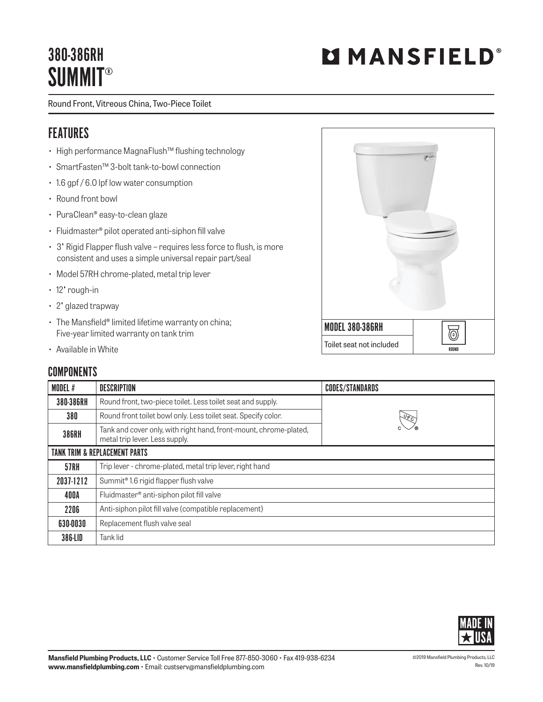# 380-386RH **SUMMIT®**

Round Front, Vitreous China, Two-Piece Toilet

#### FEATURES

- High performance MagnaFlush™ flushing technology
- SmartFasten™ 3-bolt tank-to-bowl connection
- 1.6 gpf / 6.0 lpf low water consumption
- Round front bowl
- PuraClean® easy-to-clean glaze
- Fluidmaster® pilot operated anti-siphon fill valve
- 3" Rigid Flapper flush valve requires less force to flush, is more consistent and uses a simple universal repair part/seal
- Model 57RH chrome-plated, metal trip lever
- 12" rough-in
- 2" glazed trapway
- The Mansfield® limited lifetime warranty on china; Five-year limited warranty on tank trim
- Available in White

### **COMPONENTS**

| <b>UUMFUNENIJ</b>                        |                                                                                                     |                        |  |  |
|------------------------------------------|-----------------------------------------------------------------------------------------------------|------------------------|--|--|
| <b>MODEL#</b>                            | DESCRIPTION                                                                                         | <b>CODES/STANDARDS</b> |  |  |
| 380-386RH                                | Round front, two-piece toilet. Less toilet seat and supply.                                         |                        |  |  |
| 380                                      | Round front toilet bowl only. Less toilet seat. Specify color.                                      | $\sqrt{6}$             |  |  |
| <b>386RH</b>                             | Tank and cover only, with right hand, front-mount, chrome-plated,<br>metal trip lever. Less supply. |                        |  |  |
| <b>TANK TRIM &amp; REPLACEMENT PARTS</b> |                                                                                                     |                        |  |  |
| <b>57RH</b>                              | Trip lever - chrome-plated, metal trip lever, right hand                                            |                        |  |  |
| 2037-1212                                | Summit <sup>®</sup> 1.6 rigid flapper flush valve                                                   |                        |  |  |
| 400A                                     | Fluidmaster <sup>®</sup> anti-siphon pilot fill valve                                               |                        |  |  |
| 2206                                     | Anti-siphon pilot fill valve (compatible replacement)                                               |                        |  |  |
| 630-0030                                 | Replacement flush valve seal                                                                        |                        |  |  |
| 386-LID                                  | Tank lid                                                                                            |                        |  |  |